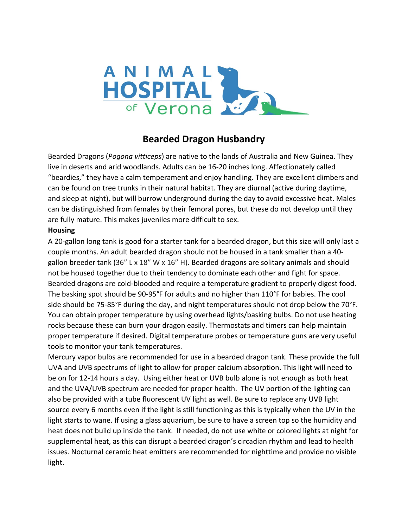

# **Bearded Dragon Husbandry**

Bearded Dragons (*Pogona vitticeps*) are native to the lands of Australia and New Guinea. They live in deserts and arid woodlands. Adults can be 16-20 inches long. Affectionately called "beardies," they have a calm temperament and enjoy handling. They are excellent climbers and can be found on tree trunks in their natural habitat. They are diurnal (active during daytime, and sleep at night), but will burrow underground during the day to avoid excessive heat. Males can be distinguished from females by their femoral pores, but these do not develop until they are fully mature. This makes juveniles more difficult to sex.

### **Housing**

A 20-gallon long tank is good for a starter tank for a bearded dragon, but this size will only last a couple months. An adult bearded dragon should not be housed in a tank smaller than a 40 gallon breeder tank (36" L x 18" W x 16" H). Bearded dragons are solitary animals and should not be housed together due to their tendency to dominate each other and fight for space. Bearded dragons are cold-blooded and require a temperature gradient to properly digest food. The basking spot should be 90-95°F for adults and no higher than 110°F for babies. The cool side should be 75-85°F during the day, and night temperatures should not drop below the 70°F. You can obtain proper temperature by using overhead lights/basking bulbs. Do not use heating rocks because these can burn your dragon easily. Thermostats and timers can help maintain proper temperature if desired. Digital temperature probes or temperature guns are very useful tools to monitor your tank temperatures.

Mercury vapor bulbs are recommended for use in a bearded dragon tank. These provide the full UVA and UVB spectrums of light to allow for proper calcium absorption. This light will need to be on for 12-14 hours a day. Using either heat or UVB bulb alone is not enough as both heat and the UVA/UVB spectrum are needed for proper health. The UV portion of the lighting can also be provided with a tube fluorescent UV light as well. Be sure to replace any UVB light source every 6 months even if the light is still functioning as this is typically when the UV in the light starts to wane. If using a glass aquarium, be sure to have a screen top so the humidity and heat does not build up inside the tank. If needed, do not use white or colored lights at night for supplemental heat, as this can disrupt a bearded dragon's circadian rhythm and lead to health issues. Nocturnal ceramic heat emitters are recommended for nighttime and provide no visible light.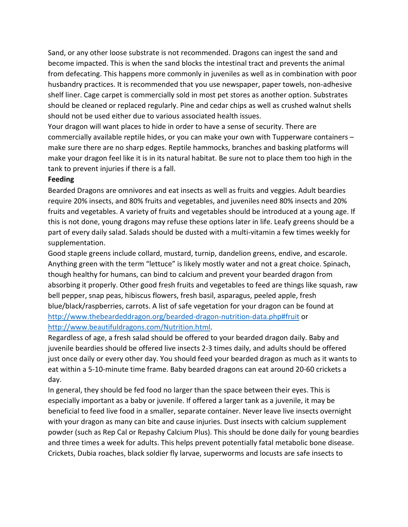Sand, or any other loose substrate is not recommended. Dragons can ingest the sand and become impacted. This is when the sand blocks the intestinal tract and prevents the animal from defecating. This happens more commonly in juveniles as well as in combination with poor husbandry practices. It is recommended that you use newspaper, paper towels, non-adhesive shelf liner. Cage carpet is commercially sold in most pet stores as another option. Substrates should be cleaned or replaced regularly. Pine and cedar chips as well as crushed walnut shells should not be used either due to various associated health issues.

Your dragon will want places to hide in order to have a sense of security. There are commercially available reptile hides, or you can make your own with Tupperware containers – make sure there are no sharp edges. Reptile hammocks, branches and basking platforms will make your dragon feel like it is in its natural habitat. Be sure not to place them too high in the tank to prevent injuries if there is a fall.

#### **Feeding**

Bearded Dragons are omnivores and eat insects as well as fruits and veggies. Adult beardies require 20% insects, and 80% fruits and vegetables, and juveniles need 80% insects and 20% fruits and vegetables. A variety of fruits and vegetables should be introduced at a young age. If this is not done, young dragons may refuse these options later in life. Leafy greens should be a part of every daily salad. Salads should be dusted with a multi-vitamin a few times weekly for supplementation.

Good staple greens include collard, mustard, turnip, dandelion greens, endive, and escarole. Anything green with the term "lettuce" is likely mostly water and not a great choice. Spinach, though healthy for humans, can bind to calcium and prevent your bearded dragon from absorbing it properly. Other good fresh fruits and vegetables to feed are things like squash, raw bell pepper, snap peas, hibiscus flowers, fresh basil, asparagus, peeled apple, fresh blue/black/raspberries, carrots. A list of safe vegetation for your dragon can be found at <http://www.thebeardeddragon.org/bearded-dragon-nutrition-data.php#fruit> or [http://www.beautifuldragons.com/Nutrition.html.](http://www.beautifuldragons.com/Nutrition.html)

Regardless of age, a fresh salad should be offered to your bearded dragon daily. Baby and juvenile beardies should be offered live insects 2-3 times daily, and adults should be offered just once daily or every other day. You should feed your bearded dragon as much as it wants to eat within a 5-10-minute time frame. Baby bearded dragons can eat around 20-60 crickets a day.

In general, they should be fed food no larger than the space between their eyes. This is especially important as a baby or juvenile. If offered a larger tank as a juvenile, it may be beneficial to feed live food in a smaller, separate container. Never leave live insects overnight with your dragon as many can bite and cause injuries. Dust insects with calcium supplement powder (such as Rep Cal or Repashy Calcium Plus). This should be done daily for young beardies and three times a week for adults. This helps prevent potentially fatal metabolic bone disease. Crickets, Dubia roaches, black soldier fly larvae, superworms and locusts are safe insects to